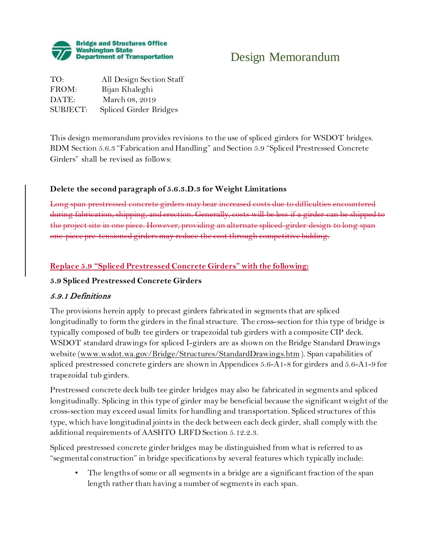

# Design Memorandum

TO: All Design Section Staff FROM: Bijan Khaleghi DATE: March 08, 2019 SUBJECT: Spliced Girder Bridges

This design memorandum provides revisions to the use of spliced girders for WSDOT bridges. BDM Section 5.6.3 "Fabrication and Handling" and Section 5.9 "Spliced Prestressed Concrete Girders" shall be revised as follows:

### **Delete the second paragraph of 5.6.3.D.3 for Weight Limitations**

Long span prestressed concrete girders may bear increased costs due to difficulties encountered during fabrication, shipping, and erection. Generally, costs will be less if a girder project site in one piece. However, providing an alternate spliced-girder one-piece pre-tensioned girders may reduce the cost through competitive bidding.

## **Replace 5.9 "Spliced Prestressed Concrete Girders" with the following:**

### **5.9 Spliced Prestressed Concrete Girders**

### 5.9.1 Definitions

The provisions herein apply to precast girders fabricated in segments that are spliced longitudinally to form the girders in the final structure. The cross-section for this type of bridge is typically composed of bulb tee girders or trapezoidal tub girders with a composite CIP deck. WSDOT standard drawings for spliced I-girders are as shown on the Bridge Standard Drawings website [\(www.wsdot.wa.gov/Bridge/Structures/StandardDrawings.htm](http://www.wsdot.wa.gov/Bridge/Structures/StandardDrawings.htm) ). Span capabilities of spliced prestressed concrete girders are shown in Appendices 5.6-A1-8 for girders and 5.6-A1-9 for trapezoidal tub girders.

Prestressed concrete deck bulb tee girder bridges may also be fabricated in segments and spliced longitudinally. Splicing in this type of girder may be beneficial because the significant weight of the cross-section may exceed usual limits for handling and transportation. Spliced structures of this type, which have longitudinal joints in the deck between each deck girder, shall comply with the additional requirements of AASHTO LRFD Section 5.12.2.3.

Spliced prestressed concrete girder bridges may be distinguished from what is referred to as "segmental construction" in bridge specifications by several features which typically include:

• The lengths of some or all segments in a bridge are a significant fraction of the span length rather than having a number of segments in each span.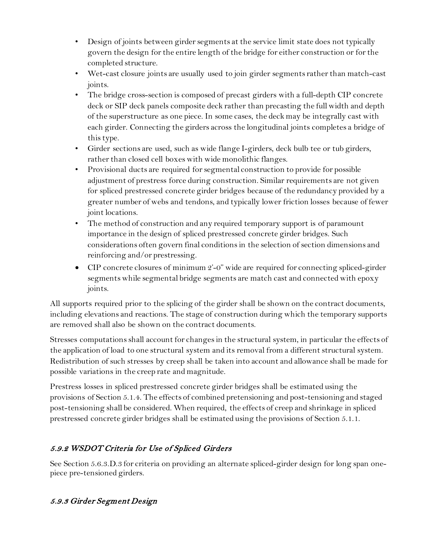- Design of joints between girder segments at the service limit state does not typically govern the design for the entire length of the bridge for either construction or for the completed structure.
- Wet-cast closure joints are usually used to join girder segments rather than match-cast joints.
- The bridge cross-section is composed of precast girders with a full-depth CIP concrete deck or SIP deck panels composite deck rather than precasting the full width and depth of the superstructure as one piece. In some cases, the deck may be integrally cast with each girder. Connecting the girders across the longitudinal joints completes a bridge of this type.
- Girder sections are used, such as wide flange I-girders, deck bulb tee or tub girders, rather than closed cell boxes with wide monolithic flanges.
- Provisional ducts are required for segmental construction to provide for possible adjustment of prestress force during construction. Similar requirements are not given for spliced prestressed concrete girder bridges because of the redundancy provided by a greater number of webs and tendons, and typically lower friction losses because of fewer joint locations.
- The method of construction and any required temporary support is of paramount importance in the design of spliced prestressed concrete girder bridges. Such considerations often govern final conditions in the selection of section dimensions and reinforcing and/or prestressing.
- CIP concrete closures of minimum 2'-0" wide are required for connecting spliced-girder segments while segmental bridge segments are match cast and connected with epoxy joints.

All supports required prior to the splicing of the girder shall be shown on the contract documents, including elevations and reactions. The stage of construction during which the temporary supports are removed shall also be shown on the contract documents.

Stresses computations shall account for changes in the structural system, in particular the effects of the application of load to one structural system and its removal from a different structural system. Redistribution of such stresses by creep shall be taken into account and allowance shall be made for possible variations in the creep rate and magnitude.

Prestress losses in spliced prestressed concrete girder bridges shall be estimated using the provisions of Section 5.1.4. The effects of combined pretensioning and post-tensioning and staged post-tensioning shall be considered. When required, the effects of creep and shrinkage in spliced prestressed concrete girder bridges shall be estimated using the provisions of Section 5.1.1.

# 5.9.2 WSDOT Criteria for Use of Spliced Girders

See Section 5.6.3.D.3 for criteria on providing an alternate spliced-girder design for long span onepiece pre-tensioned girders.

# 5.9.3 Girder Segment Design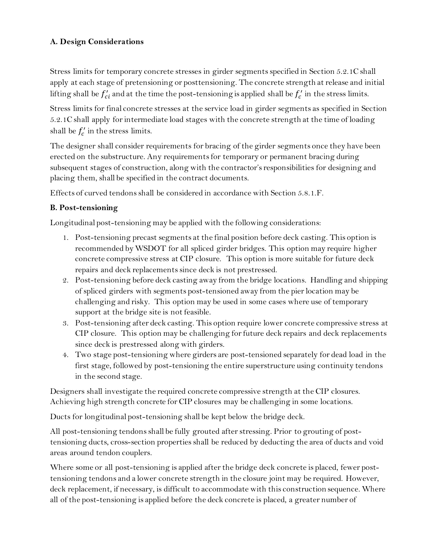## **A. Design Considerations**

Stress limits for temporary concrete stresses in girder segments specified in Section 5.2.1C shall apply at each stage of pretensioning or posttensioning. The concrete strength at release and initial lifting shall be  $f'_{ci}$  and at the time the post-tensioning is applied shall be  $f'_{c}$  in the stress limits.

Stress limits for final concrete stresses at the service load in girder segments as specified in Section 5.2.1C shall apply for intermediate load stages with the concrete strength at the time of loading shall be  $f'_c$  in the stress limits.

The designer shall consider requirements for bracing of the girder segments once they have been erected on the substructure. Any requirements for temporary or permanent bracing during subsequent stages of construction, along with the contractor's responsibilities for designing and placing them, shall be specified in the contract documents.

Effects of curved tendons shall be considered in accordance with Section 5.8.1.F.

## **B. Post-tensioning**

Longitudinal post-tensioning may be applied with the following considerations:

- 1. Post-tensioning precast segments at the final position before deck casting. This option is recommended by WSDOT for all spliced girder bridges. This option may require higher concrete compressive stress at CIP closure. This option is more suitable for future deck repairs and deck replacements since deck is not prestressed.
- 2. Post-tensioning before deck casting away from the bridge locations. Handling and shipping of spliced girders with segments post-tensioned away from the pier location may be challenging and risky. This option may be used in some cases where use of temporary support at the bridge site is not feasible.
- 3. Post-tensioning after deck casting. This option require lower concrete compressive stress at CIP closure. This option may be challenging for future deck repairs and deck replacements since deck is prestressed along with girders.
- 4. Two stage post-tensioning where girders are post-tensioned separately for dead load in the first stage, followed by post-tensioning the entire superstructure using continuity tendons in the second stage.

Designers shall investigate the required concrete compressive strength at the CIP closures. Achieving high strength concrete for CIP closures may be challenging in some locations.

Ducts for longitudinal post-tensioning shall be kept below the bridge deck.

All post-tensioning tendons shall be fully grouted after stressing. Prior to grouting of posttensioning ducts, cross-section properties shall be reduced by deducting the area of ducts and void areas around tendon couplers.

Where some or all post-tensioning is applied after the bridge deck concrete is placed, fewer posttensioning tendons and a lower concrete strength in the closure joint may be required. However, deck replacement, if necessary, is difficult to accommodate with this construction sequence. Where all of the post-tensioning is applied before the deck concrete is placed, a greater number of